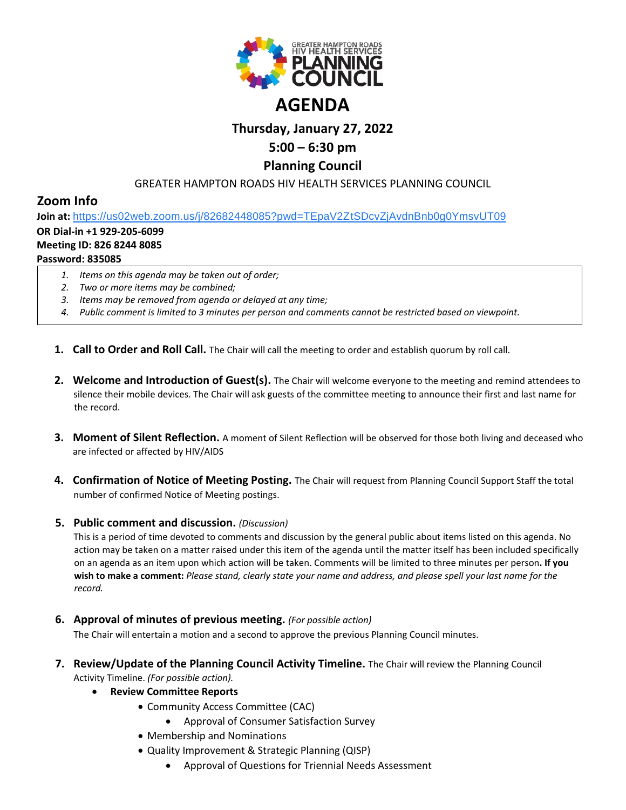

# **AGENDA**

## **Thursday, January 27, 2022**

# **5:00 – 6:30 pm**

## **Planning Council**

## GREATER HAMPTON ROADS HIV HEALTH SERVICES PLANNING COUNCIL

# **Zoom Info**

**Join at:** [https://us02web.zoom.us/j/82682448085?pwd=TEpaV2ZtSDcvZjAvdnBnb0g0YmsvUT09](https://www.google.com/url?q=https://us02web.zoom.us/j/82682448085?pwd%3DTEpaV2ZtSDcvZjAvdnBnb0g0YmsvUT09&sa=D&source=calendar&ust=1619875881860000&usg=AOvVaw0zwYUyYOogd54DiewQ0YcP)

## **OR Dial-in +1 929-205-6099**

#### **Meeting ID: 826 8244 8085**

## **Password: 835085**

- *1. Items on this agenda may be taken out of order;*
- *2. Two or more items may be combined;*
- *3. Items may be removed from agenda or delayed at any time;*
- *4. Public comment is limited to 3 minutes per person and comments cannot be restricted based on viewpoint.*
- **1. Call to Order and Roll Call.** The Chair will call the meeting to order and establish quorum by roll call.
- **2. Welcome and Introduction of Guest(s).** The Chair will welcome everyone to the meeting and remind attendees to silence their mobile devices. The Chair will ask guests of the committee meeting to announce their first and last name for the record.
- **3. Moment of Silent Reflection.** A moment of Silent Reflection will be observed for those both living and deceased who are infected or affected by HIV/AIDS
- **4. Confirmation of Notice of Meeting Posting.** The Chair will request from Planning Council Support Staff the total number of confirmed Notice of Meeting postings.

## **5. Public comment and discussion.** *(Discussion)*

This is a period of time devoted to comments and discussion by the general public about items listed on this agenda. No action may be taken on a matter raised under this item of the agenda until the matter itself has been included specifically on an agenda as an item upon which action will be taken. Comments will be limited to three minutes per person**. If you wish to make a comment:** *Please stand, clearly state your name and address, and please spell your last name for the record.*

**6. Approval of minutes of previous meeting.** *(For possible action)*

The Chair will entertain a motion and a second to approve the previous Planning Council minutes.

- **7. Review/Update of the Planning Council Activity Timeline.** The Chair will review the Planning Council Activity Timeline. *(For possible action).*
	- **Review Committee Reports**
		- Community Access Committee (CAC)
			- Approval of Consumer Satisfaction Survey
		- Membership and Nominations
		- Quality Improvement & Strategic Planning (QISP)
			- Approval of Questions for Triennial Needs Assessment